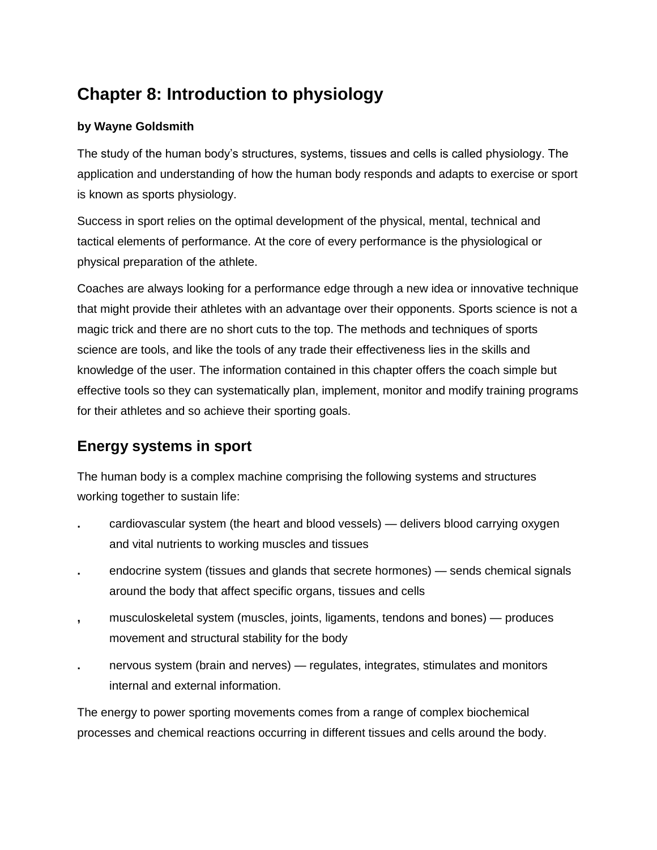## **Chapter 8: Introduction to physiology**

## **by Wayne Goldsmith**

The study of the human body's structures, systems, tissues and cells is called physiology. The application and understanding of how the human body responds and adapts to exercise or sport is known as sports physiology.

Success in sport relies on the optimal development of the physical, mental, technical and tactical elements of performance. At the core of every performance is the physiological or physical preparation of the athlete.

Coaches are always looking for a performance edge through a new idea or innovative technique that might provide their athletes with an advantage over their opponents. Sports science is not a magic trick and there are no short cuts to the top. The methods and techniques of sports science are tools, and like the tools of any trade their effectiveness lies in the skills and knowledge of the user. The information contained in this chapter offers the coach simple but effective tools so they can systematically plan, implement, monitor and modify training programs for their athletes and so achieve their sporting goals.

## **Energy systems in sport**

The human body is a complex machine comprising the following systems and structures working together to sustain life:

- **.** cardiovascular system (the heart and blood vessels) delivers blood carrying oxygen and vital nutrients to working muscles and tissues
- **.** endocrine system (tissues and glands that secrete hormones) sends chemical signals around the body that affect specific organs, tissues and cells
- **,** musculoskeletal system (muscles, joints, ligaments, tendons and bones) produces movement and structural stability for the body
- **.** nervous system (brain and nerves) regulates, integrates, stimulates and monitors internal and external information.

The energy to power sporting movements comes from a range of complex biochemical processes and chemical reactions occurring in different tissues and cells around the body.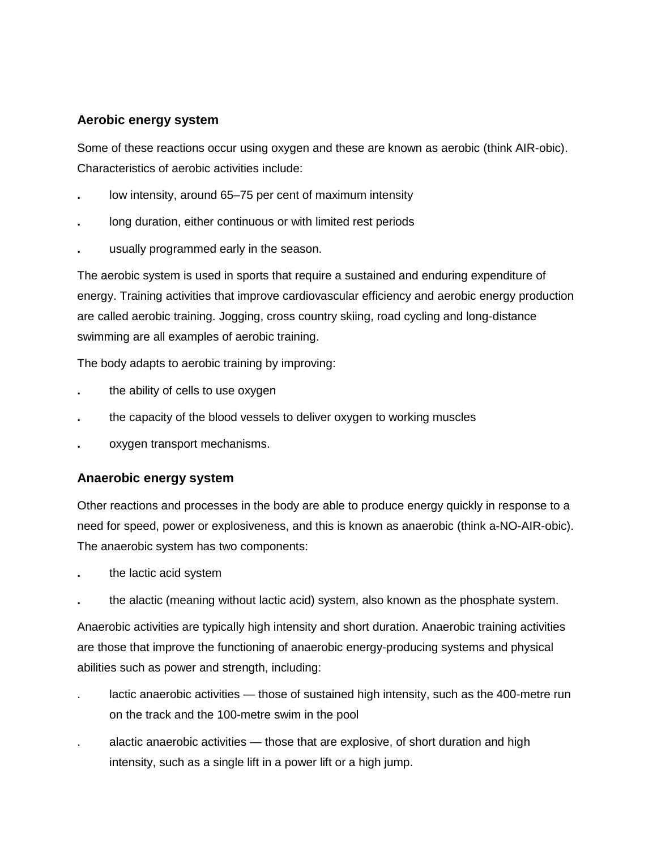## **Aerobic energy system**

Some of these reactions occur using oxygen and these are known as aerobic (think AIR-obic). Characteristics of aerobic activities include:

- **.** low intensity, around 65–75 per cent of maximum intensity
- **.** long duration, either continuous or with limited rest periods
- **.** usually programmed early in the season.

The aerobic system is used in sports that require a sustained and enduring expenditure of energy. Training activities that improve cardiovascular efficiency and aerobic energy production are called aerobic training. Jogging, cross country skiing, road cycling and long-distance swimming are all examples of aerobic training.

The body adapts to aerobic training by improving:

- **.** the ability of cells to use oxygen
- **.** the capacity of the blood vessels to deliver oxygen to working muscles
- **.** oxygen transport mechanisms.

## **Anaerobic energy system**

Other reactions and processes in the body are able to produce energy quickly in response to a need for speed, power or explosiveness, and this is known as anaerobic (think a-NO-AIR-obic). The anaerobic system has two components:

- **.** the lactic acid system
- **.** the alactic (meaning without lactic acid) system, also known as the phosphate system.

Anaerobic activities are typically high intensity and short duration. Anaerobic training activities are those that improve the functioning of anaerobic energy-producing systems and physical abilities such as power and strength, including:

- . lactic anaerobic activities those of sustained high intensity, such as the 400-metre run on the track and the 100-metre swim in the pool
- . alactic anaerobic activities those that are explosive, of short duration and high intensity, such as a single lift in a power lift or a high jump.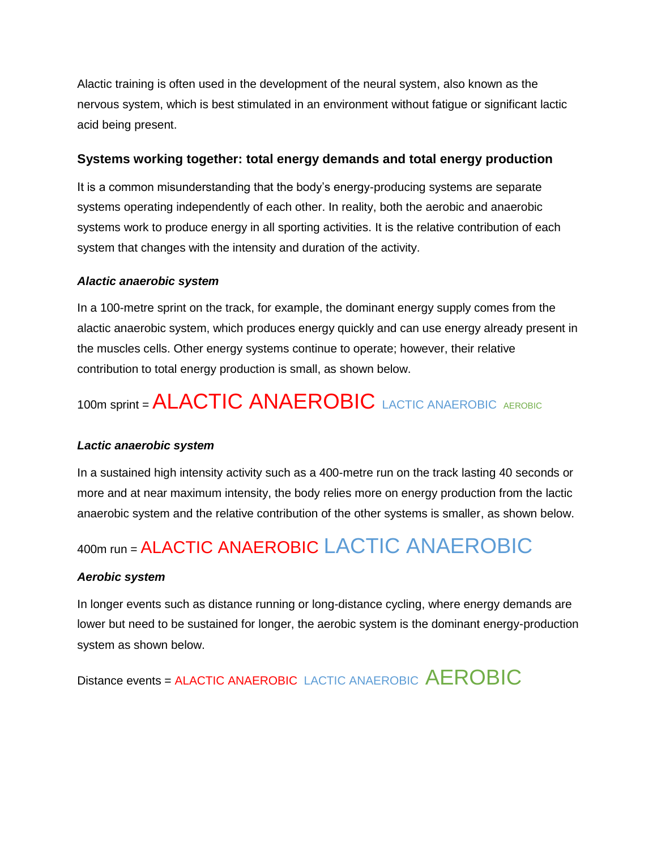Alactic training is often used in the development of the neural system, also known as the nervous system, which is best stimulated in an environment without fatigue or significant lactic acid being present.

#### **Systems working together: total energy demands and total energy production**

It is a common misunderstanding that the body's energy-producing systems are separate systems operating independently of each other. In reality, both the aerobic and anaerobic systems work to produce energy in all sporting activities. It is the relative contribution of each system that changes with the intensity and duration of the activity.

#### *Alactic anaerobic system*

In a 100-metre sprint on the track, for example, the dominant energy supply comes from the alactic anaerobic system, which produces energy quickly and can use energy already present in the muscles cells. Other energy systems continue to operate; however, their relative contribution to total energy production is small, as shown below.

# 100m sprint = ALACTIC ANAEROBIC LACTIC ANAEROBIC AEROBIC

#### *Lactic anaerobic system*

In a sustained high intensity activity such as a 400-metre run on the track lasting 40 seconds or more and at near maximum intensity, the body relies more on energy production from the lactic anaerobic system and the relative contribution of the other systems is smaller, as shown below.

# 400m run = ALACTIC ANAEROBIC LACTIC ANAEROBIC

#### *Aerobic system*

In longer events such as distance running or long-distance cycling, where energy demands are lower but need to be sustained for longer, the aerobic system is the dominant energy-production system as shown below.

Distance events = ALACTIC ANAEROBIC LACTIC ANAEROBIC AEROBIC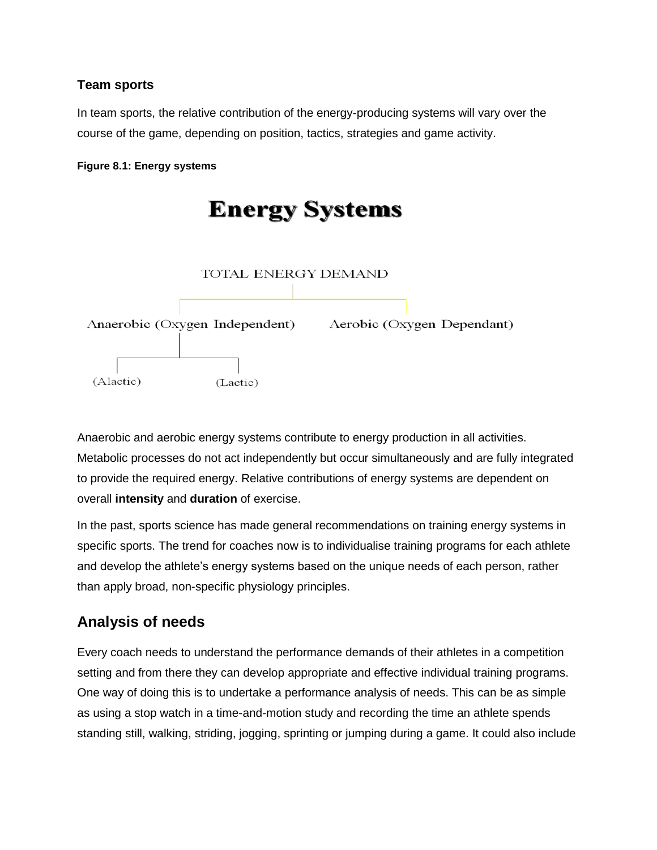## **Team sports**

In team sports, the relative contribution of the energy-producing systems will vary over the course of the game, depending on position, tactics, strategies and game activity.

**Figure 8.1: Energy systems**



Anaerobic and aerobic energy systems contribute to energy production in all activities. Metabolic processes do not act independently but occur simultaneously and are fully integrated to provide the required energy. Relative contributions of energy systems are dependent on overall **intensity** and **duration** of exercise.

In the past, sports science has made general recommendations on training energy systems in specific sports. The trend for coaches now is to individualise training programs for each athlete and develop the athlete's energy systems based on the unique needs of each person, rather than apply broad, non-specific physiology principles.

## **Analysis of needs**

Every coach needs to understand the performance demands of their athletes in a competition setting and from there they can develop appropriate and effective individual training programs. One way of doing this is to undertake a performance analysis of needs. This can be as simple as using a stop watch in a time-and-motion study and recording the time an athlete spends standing still, walking, striding, jogging, sprinting or jumping during a game. It could also include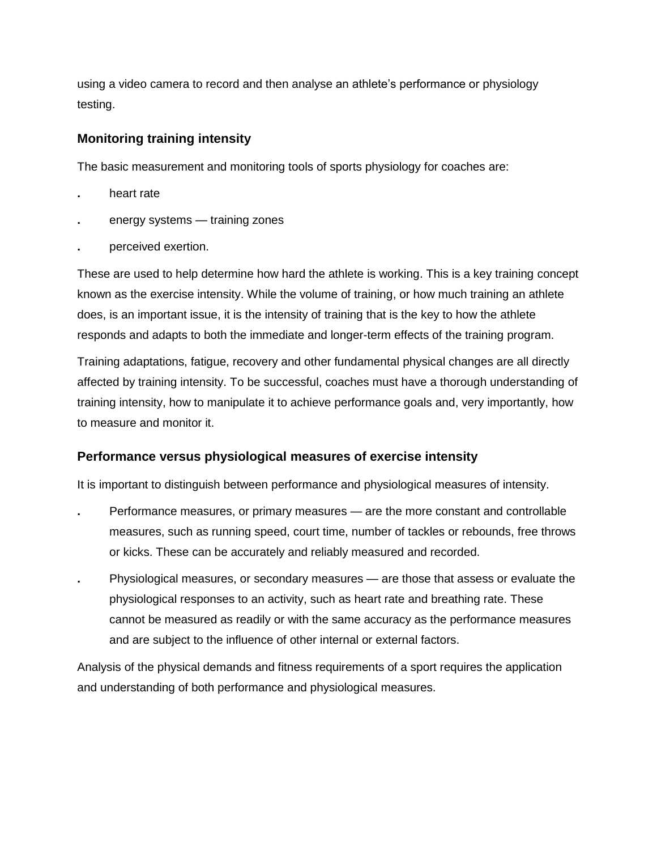using a video camera to record and then analyse an athlete's performance or physiology testing.

## **Monitoring training intensity**

The basic measurement and monitoring tools of sports physiology for coaches are:

- **.** heart rate
- **.** energy systems training zones
- **.** perceived exertion.

These are used to help determine how hard the athlete is working. This is a key training concept known as the exercise intensity. While the volume of training, or how much training an athlete does, is an important issue, it is the intensity of training that is the key to how the athlete responds and adapts to both the immediate and longer-term effects of the training program.

Training adaptations, fatigue, recovery and other fundamental physical changes are all directly affected by training intensity. To be successful, coaches must have a thorough understanding of training intensity, how to manipulate it to achieve performance goals and, very importantly, how to measure and monitor it.

## **Performance versus physiological measures of exercise intensity**

It is important to distinguish between performance and physiological measures of intensity.

- **.** Performance measures, or primary measures are the more constant and controllable measures, such as running speed, court time, number of tackles or rebounds, free throws or kicks. These can be accurately and reliably measured and recorded.
- **.** Physiological measures, or secondary measures are those that assess or evaluate the physiological responses to an activity, such as heart rate and breathing rate. These cannot be measured as readily or with the same accuracy as the performance measures and are subject to the influence of other internal or external factors.

Analysis of the physical demands and fitness requirements of a sport requires the application and understanding of both performance and physiological measures.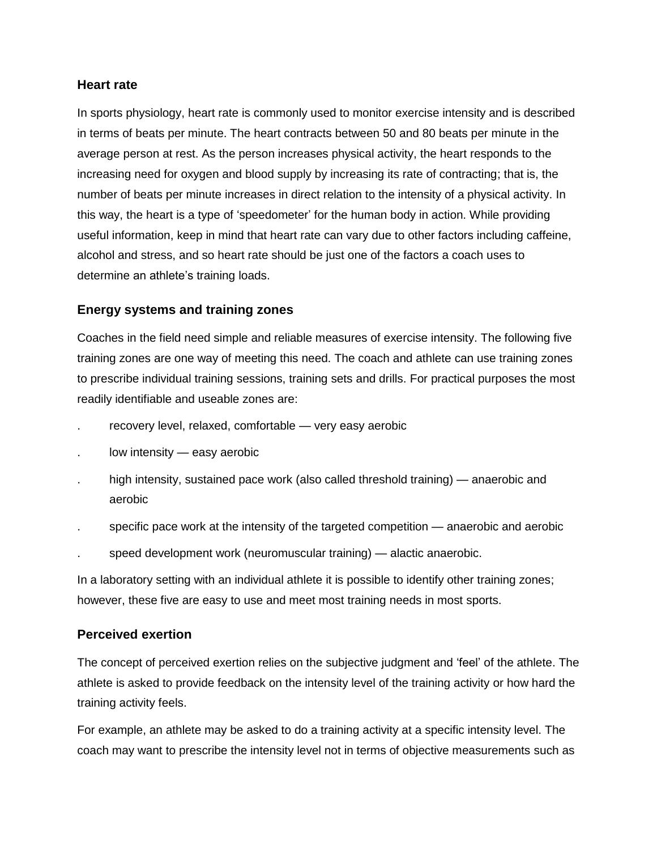#### **Heart rate**

In sports physiology, heart rate is commonly used to monitor exercise intensity and is described in terms of beats per minute. The heart contracts between 50 and 80 beats per minute in the average person at rest. As the person increases physical activity, the heart responds to the increasing need for oxygen and blood supply by increasing its rate of contracting; that is, the number of beats per minute increases in direct relation to the intensity of a physical activity. In this way, the heart is a type of 'speedometer' for the human body in action. While providing useful information, keep in mind that heart rate can vary due to other factors including caffeine, alcohol and stress, and so heart rate should be just one of the factors a coach uses to determine an athlete's training loads.

## **Energy systems and training zones**

Coaches in the field need simple and reliable measures of exercise intensity. The following five training zones are one way of meeting this need. The coach and athlete can use training zones to prescribe individual training sessions, training sets and drills. For practical purposes the most readily identifiable and useable zones are:

- recovery level, relaxed, comfortable very easy aerobic
- low intensity easy aerobic
- high intensity, sustained pace work (also called threshold training) anaerobic and aerobic
- . specific pace work at the intensity of the targeted competition anaerobic and aerobic
- speed development work (neuromuscular training) alactic anaerobic.

In a laboratory setting with an individual athlete it is possible to identify other training zones; however, these five are easy to use and meet most training needs in most sports.

## **Perceived exertion**

The concept of perceived exertion relies on the subjective judgment and 'feel' of the athlete. The athlete is asked to provide feedback on the intensity level of the training activity or how hard the training activity feels.

For example, an athlete may be asked to do a training activity at a specific intensity level. The coach may want to prescribe the intensity level not in terms of objective measurements such as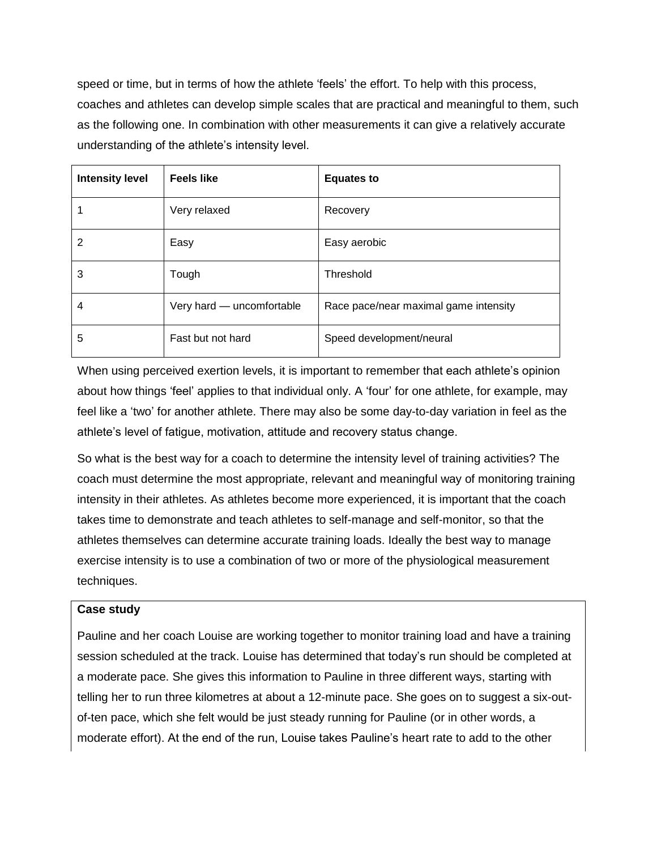speed or time, but in terms of how the athlete 'feels' the effort. To help with this process, coaches and athletes can develop simple scales that are practical and meaningful to them, such as the following one. In combination with other measurements it can give a relatively accurate understanding of the athlete's intensity level.

| <b>Intensity level</b> | <b>Feels like</b>         | <b>Equates to</b>                     |
|------------------------|---------------------------|---------------------------------------|
|                        | Very relaxed              | Recovery                              |
| 2                      | Easy                      | Easy aerobic                          |
| 3                      | Tough                     | Threshold                             |
| 4                      | Very hard - uncomfortable | Race pace/near maximal game intensity |
| 5                      | Fast but not hard         | Speed development/neural              |

When using perceived exertion levels, it is important to remember that each athlete's opinion about how things 'feel' applies to that individual only. A 'four' for one athlete, for example, may feel like a 'two' for another athlete. There may also be some day-to-day variation in feel as the athlete's level of fatigue, motivation, attitude and recovery status change.

So what is the best way for a coach to determine the intensity level of training activities? The coach must determine the most appropriate, relevant and meaningful way of monitoring training intensity in their athletes. As athletes become more experienced, it is important that the coach takes time to demonstrate and teach athletes to self-manage and self-monitor, so that the athletes themselves can determine accurate training loads. Ideally the best way to manage exercise intensity is to use a combination of two or more of the physiological measurement techniques.

#### **Case study**

Pauline and her coach Louise are working together to monitor training load and have a training session scheduled at the track. Louise has determined that today's run should be completed at a moderate pace. She gives this information to Pauline in three different ways, starting with telling her to run three kilometres at about a 12-minute pace. She goes on to suggest a six-outof-ten pace, which she felt would be just steady running for Pauline (or in other words, a moderate effort). At the end of the run, Louise takes Pauline's heart rate to add to the other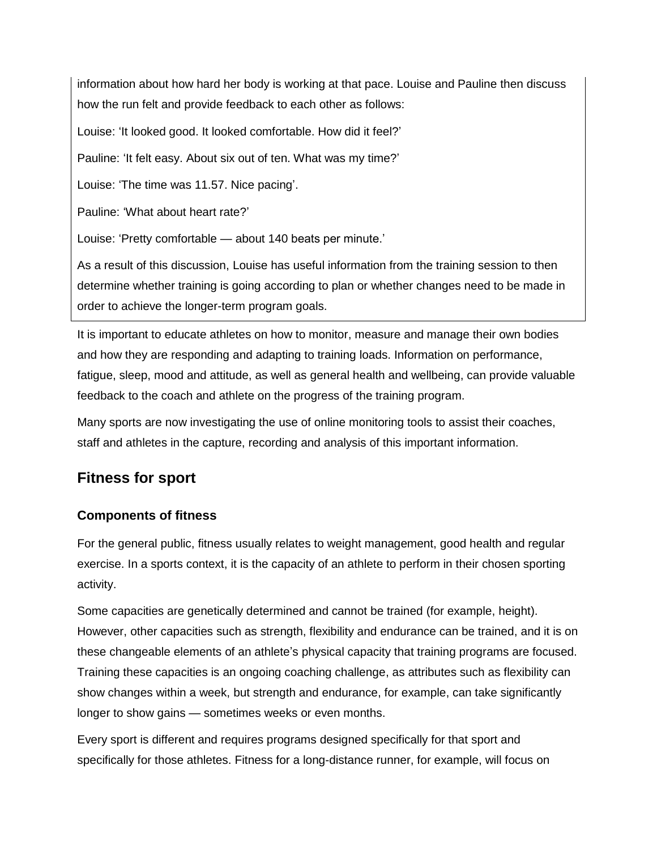information about how hard her body is working at that pace. Louise and Pauline then discuss how the run felt and provide feedback to each other as follows:

Louise: 'It looked good. It looked comfortable. How did it feel?'

Pauline: 'It felt easy. About six out of ten. What was my time?'

Louise: 'The time was 11.57. Nice pacing'.

Pauline: 'What about heart rate?'

Louise: 'Pretty comfortable — about 140 beats per minute.'

As a result of this discussion, Louise has useful information from the training session to then determine whether training is going according to plan or whether changes need to be made in order to achieve the longer-term program goals.

It is important to educate athletes on how to monitor, measure and manage their own bodies and how they are responding and adapting to training loads. Information on performance, fatigue, sleep, mood and attitude, as well as general health and wellbeing, can provide valuable feedback to the coach and athlete on the progress of the training program.

Many sports are now investigating the use of online monitoring tools to assist their coaches, staff and athletes in the capture, recording and analysis of this important information.

## **Fitness for sport**

## **Components of fitness**

For the general public, fitness usually relates to weight management, good health and regular exercise. In a sports context, it is the capacity of an athlete to perform in their chosen sporting activity.

Some capacities are genetically determined and cannot be trained (for example, height). However, other capacities such as strength, flexibility and endurance can be trained, and it is on these changeable elements of an athlete's physical capacity that training programs are focused. Training these capacities is an ongoing coaching challenge, as attributes such as flexibility can show changes within a week, but strength and endurance, for example, can take significantly longer to show gains — sometimes weeks or even months.

Every sport is different and requires programs designed specifically for that sport and specifically for those athletes. Fitness for a long-distance runner, for example, will focus on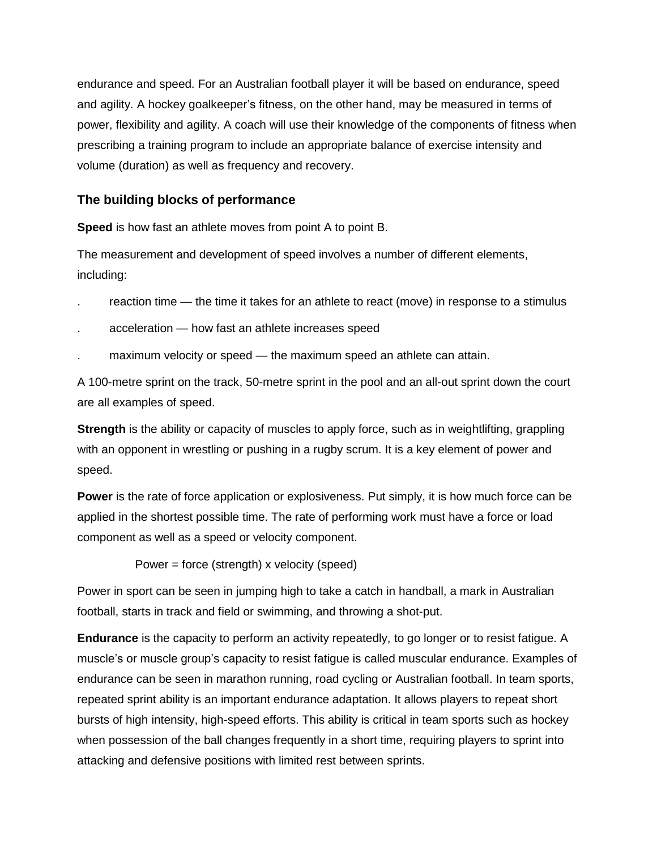endurance and speed. For an Australian football player it will be based on endurance, speed and agility. A hockey goalkeeper's fitness, on the other hand, may be measured in terms of power, flexibility and agility. A coach will use their knowledge of the components of fitness when prescribing a training program to include an appropriate balance of exercise intensity and volume (duration) as well as frequency and recovery.

## **The building blocks of performance**

**Speed** is how fast an athlete moves from point A to point B.

The measurement and development of speed involves a number of different elements, including:

- reaction time the time it takes for an athlete to react (move) in response to a stimulus
- . acceleration how fast an athlete increases speed
- . maximum velocity or speed the maximum speed an athlete can attain.

A 100-metre sprint on the track, 50-metre sprint in the pool and an all-out sprint down the court are all examples of speed.

**Strength** is the ability or capacity of muscles to apply force, such as in weightlifting, grappling with an opponent in wrestling or pushing in a rugby scrum. It is a key element of power and speed.

**Power** is the rate of force application or explosiveness. Put simply, it is how much force can be applied in the shortest possible time. The rate of performing work must have a force or load component as well as a speed or velocity component.

Power = force (strength) x velocity (speed)

Power in sport can be seen in jumping high to take a catch in handball, a mark in Australian football, starts in track and field or swimming, and throwing a shot-put.

**Endurance** is the capacity to perform an activity repeatedly, to go longer or to resist fatigue. A muscle's or muscle group's capacity to resist fatigue is called muscular endurance. Examples of endurance can be seen in marathon running, road cycling or Australian football. In team sports, repeated sprint ability is an important endurance adaptation. It allows players to repeat short bursts of high intensity, high-speed efforts. This ability is critical in team sports such as hockey when possession of the ball changes frequently in a short time, requiring players to sprint into attacking and defensive positions with limited rest between sprints.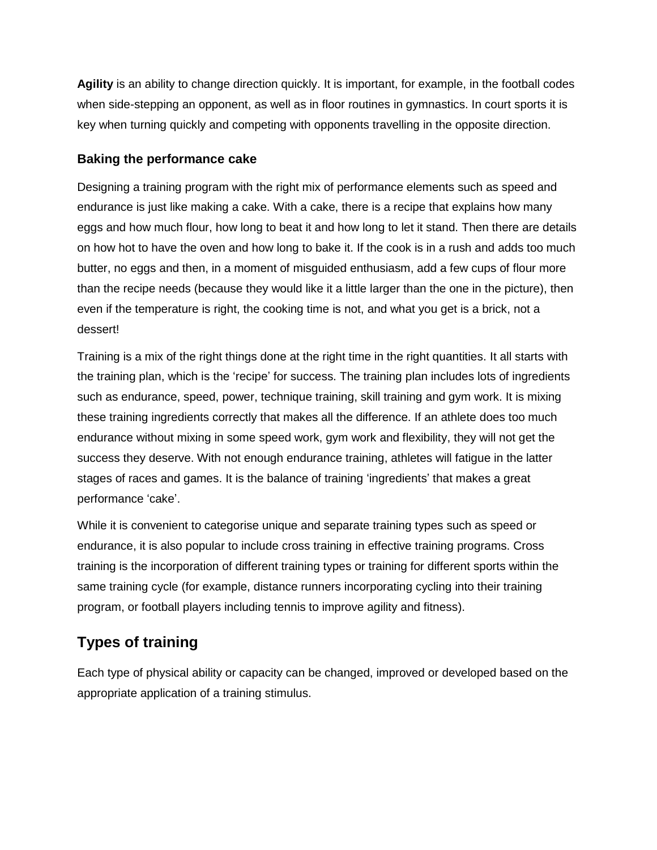**Agility** is an ability to change direction quickly. It is important, for example, in the football codes when side-stepping an opponent, as well as in floor routines in gymnastics. In court sports it is key when turning quickly and competing with opponents travelling in the opposite direction.

## **Baking the performance cake**

Designing a training program with the right mix of performance elements such as speed and endurance is just like making a cake. With a cake, there is a recipe that explains how many eggs and how much flour, how long to beat it and how long to let it stand. Then there are details on how hot to have the oven and how long to bake it. If the cook is in a rush and adds too much butter, no eggs and then, in a moment of misguided enthusiasm, add a few cups of flour more than the recipe needs (because they would like it a little larger than the one in the picture), then even if the temperature is right, the cooking time is not, and what you get is a brick, not a dessert!

Training is a mix of the right things done at the right time in the right quantities. It all starts with the training plan, which is the 'recipe' for success. The training plan includes lots of ingredients such as endurance, speed, power, technique training, skill training and gym work. It is mixing these training ingredients correctly that makes all the difference. If an athlete does too much endurance without mixing in some speed work, gym work and flexibility, they will not get the success they deserve. With not enough endurance training, athletes will fatigue in the latter stages of races and games. It is the balance of training 'ingredients' that makes a great performance 'cake'.

While it is convenient to categorise unique and separate training types such as speed or endurance, it is also popular to include cross training in effective training programs. Cross training is the incorporation of different training types or training for different sports within the same training cycle (for example, distance runners incorporating cycling into their training program, or football players including tennis to improve agility and fitness).

## **Types of training**

Each type of physical ability or capacity can be changed, improved or developed based on the appropriate application of a training stimulus.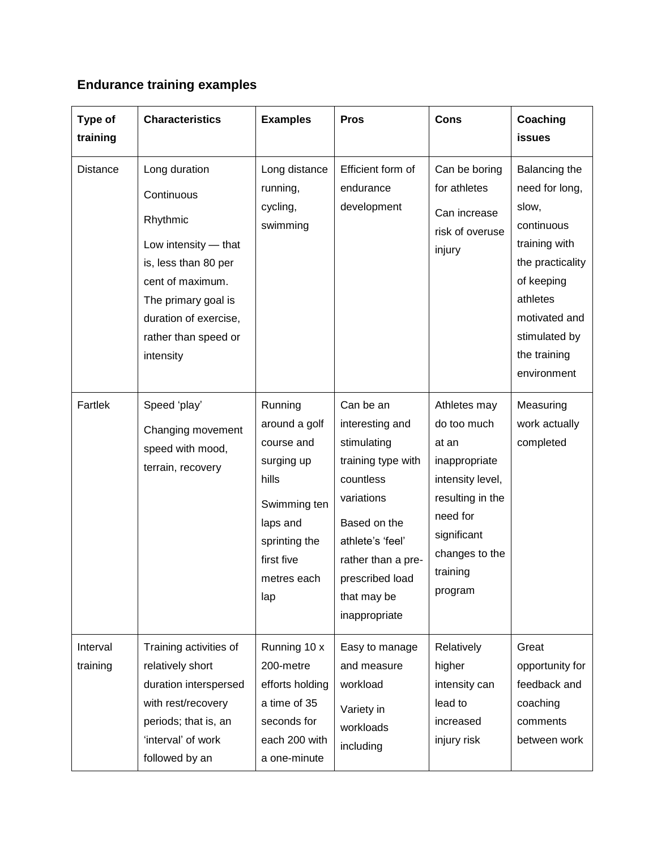## **Endurance training examples**

| Type of<br>training  | <b>Characteristics</b>                                                                                                                                                                           | <b>Examples</b>                                                                                                                                | <b>Pros</b>                                                                                                                                                                                               | <b>Cons</b>                                                                                                                                                       | Coaching<br><b>issues</b>                                                                                                                                                              |
|----------------------|--------------------------------------------------------------------------------------------------------------------------------------------------------------------------------------------------|------------------------------------------------------------------------------------------------------------------------------------------------|-----------------------------------------------------------------------------------------------------------------------------------------------------------------------------------------------------------|-------------------------------------------------------------------------------------------------------------------------------------------------------------------|----------------------------------------------------------------------------------------------------------------------------------------------------------------------------------------|
| <b>Distance</b>      | Long duration<br>Continuous<br>Rhythmic<br>Low intensity - that<br>is, less than 80 per<br>cent of maximum.<br>The primary goal is<br>duration of exercise,<br>rather than speed or<br>intensity | Long distance<br>running,<br>cycling,<br>swimming                                                                                              | Efficient form of<br>endurance<br>development                                                                                                                                                             | Can be boring<br>for athletes<br>Can increase<br>risk of overuse<br>injury                                                                                        | Balancing the<br>need for long,<br>slow,<br>continuous<br>training with<br>the practicality<br>of keeping<br>athletes<br>motivated and<br>stimulated by<br>the training<br>environment |
| Fartlek              | Speed 'play'<br>Changing movement<br>speed with mood,<br>terrain, recovery                                                                                                                       | Running<br>around a golf<br>course and<br>surging up<br>hills<br>Swimming ten<br>laps and<br>sprinting the<br>first five<br>metres each<br>lap | Can be an<br>interesting and<br>stimulating<br>training type with<br>countless<br>variations<br>Based on the<br>athlete's 'feel'<br>rather than a pre-<br>prescribed load<br>that may be<br>inappropriate | Athletes may<br>do too much<br>at an<br>inappropriate<br>intensity level,<br>resulting in the<br>need for<br>significant<br>changes to the<br>training<br>program | Measuring<br>work actually<br>completed                                                                                                                                                |
| Interval<br>training | Training activities of<br>relatively short<br>duration interspersed<br>with rest/recovery<br>periods; that is, an<br>'interval' of work<br>followed by an                                        | Running 10 x<br>200-metre<br>efforts holding<br>a time of 35<br>seconds for<br>each 200 with<br>a one-minute                                   | Easy to manage<br>and measure<br>workload<br>Variety in<br>workloads<br>including                                                                                                                         | Relatively<br>higher<br>intensity can<br>lead to<br>increased<br>injury risk                                                                                      | Great<br>opportunity for<br>feedback and<br>coaching<br>comments<br>between work                                                                                                       |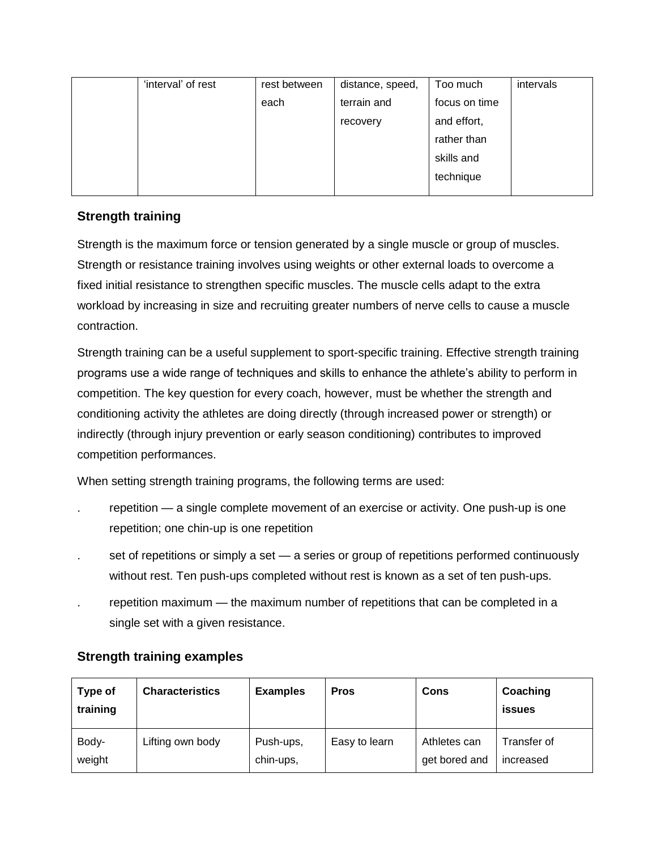| 'interval' of rest | rest between | distance, speed, | Too much      | intervals |
|--------------------|--------------|------------------|---------------|-----------|
|                    | each         | terrain and      | focus on time |           |
|                    |              | recovery         | and effort,   |           |
|                    |              |                  | rather than   |           |
|                    |              |                  | skills and    |           |
|                    |              |                  | technique     |           |
|                    |              |                  |               |           |

## **Strength training**

Strength is the maximum force or tension generated by a single muscle or group of muscles. Strength or resistance training involves using weights or other external loads to overcome a fixed initial resistance to strengthen specific muscles. The muscle cells adapt to the extra workload by increasing in size and recruiting greater numbers of nerve cells to cause a muscle contraction.

Strength training can be a useful supplement to sport-specific training. Effective strength training programs use a wide range of techniques and skills to enhance the athlete's ability to perform in competition. The key question for every coach, however, must be whether the strength and conditioning activity the athletes are doing directly (through increased power or strength) or indirectly (through injury prevention or early season conditioning) contributes to improved competition performances.

When setting strength training programs, the following terms are used:

- repetition a single complete movement of an exercise or activity. One push-up is one repetition; one chin-up is one repetition
- . set of repetitions or simply a set a series or group of repetitions performed continuously without rest. Ten push-ups completed without rest is known as a set of ten push-ups.
- . repetition maximum the maximum number of repetitions that can be completed in a single set with a given resistance.

| Type of<br>training | <b>Characteristics</b> | <b>Examples</b>        | <b>Pros</b>   | Cons                          | Coaching<br>issues       |
|---------------------|------------------------|------------------------|---------------|-------------------------------|--------------------------|
| Body-<br>weight     | Lifting own body       | Push-ups,<br>chin-ups, | Easy to learn | Athletes can<br>get bored and | Transfer of<br>increased |

## **Strength training examples**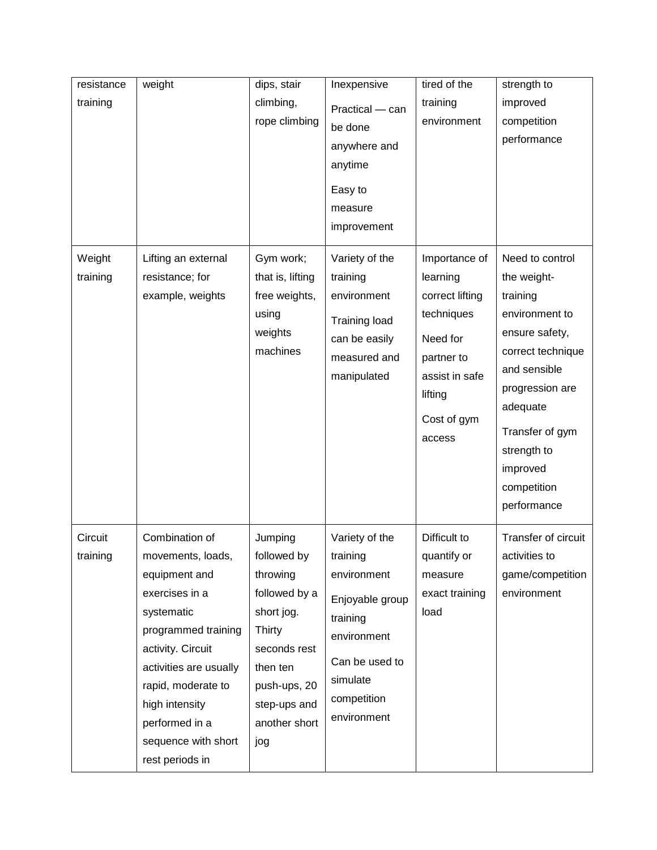| resistance          | weight                                                                                                                                                                                                                                                         | dips, stair                                                                                                                                                     | Inexpensive                                                                                                                                         | tired of the                                                                                                                               | strength to                                                                                                                                                                                                                    |
|---------------------|----------------------------------------------------------------------------------------------------------------------------------------------------------------------------------------------------------------------------------------------------------------|-----------------------------------------------------------------------------------------------------------------------------------------------------------------|-----------------------------------------------------------------------------------------------------------------------------------------------------|--------------------------------------------------------------------------------------------------------------------------------------------|--------------------------------------------------------------------------------------------------------------------------------------------------------------------------------------------------------------------------------|
| training            |                                                                                                                                                                                                                                                                | climbing,<br>rope climbing                                                                                                                                      | Practical - can<br>be done<br>anywhere and<br>anytime<br>Easy to<br>measure<br>improvement                                                          | training<br>environment                                                                                                                    | improved<br>competition<br>performance                                                                                                                                                                                         |
| Weight<br>training  | Lifting an external<br>resistance; for<br>example, weights                                                                                                                                                                                                     | Gym work;<br>that is, lifting<br>free weights,<br>using<br>weights<br>machines                                                                                  | Variety of the<br>training<br>environment<br><b>Training load</b><br>can be easily<br>measured and<br>manipulated                                   | Importance of<br>learning<br>correct lifting<br>techniques<br>Need for<br>partner to<br>assist in safe<br>lifting<br>Cost of gym<br>access | Need to control<br>the weight-<br>training<br>environment to<br>ensure safety,<br>correct technique<br>and sensible<br>progression are<br>adequate<br>Transfer of gym<br>strength to<br>improved<br>competition<br>performance |
| Circuit<br>training | Combination of<br>movements, loads,<br>equipment and<br>exercises in a<br>systematic<br>programmed training<br>activity. Circuit<br>activities are usually<br>rapid, moderate to<br>high intensity<br>performed in a<br>sequence with short<br>rest periods in | Jumping<br>followed by<br>throwing<br>followed by a<br>short jog.<br>Thirty<br>seconds rest<br>then ten<br>push-ups, 20<br>step-ups and<br>another short<br>jog | Variety of the<br>training<br>environment<br>Enjoyable group<br>training<br>environment<br>Can be used to<br>simulate<br>competition<br>environment | Difficult to<br>quantify or<br>measure<br>exact training<br>load                                                                           | Transfer of circuit<br>activities to<br>game/competition<br>environment                                                                                                                                                        |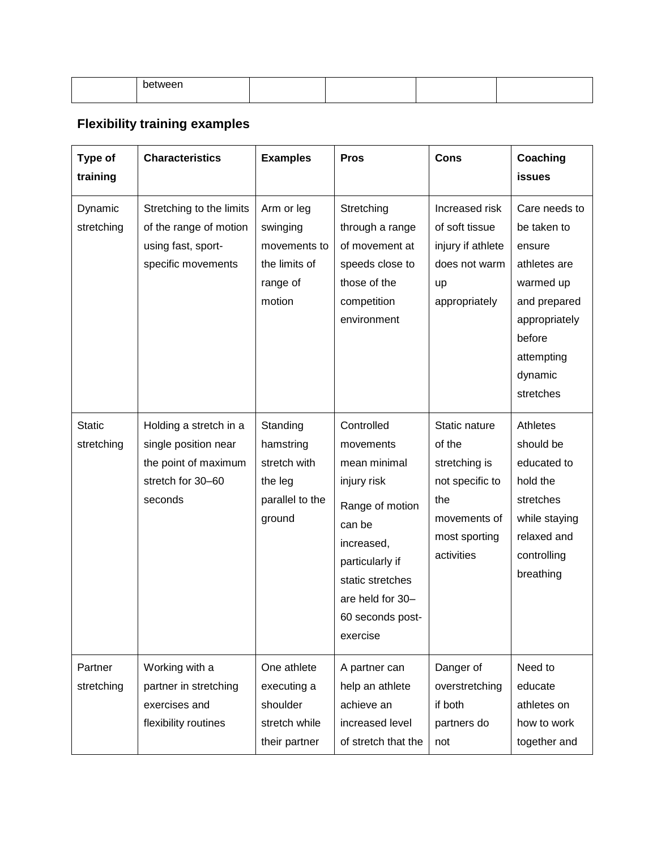| ∡∟מוז |  |  |
|-------|--|--|
|       |  |  |

## **Flexibility training examples**

| Type of<br>training         | <b>Characteristics</b>                                                                                 | <b>Examples</b>                                                               | <b>Pros</b>                                                                                                                                                                                  | <b>Cons</b>                                                                                                       | Coaching<br><b>issues</b>                                                                                                                            |
|-----------------------------|--------------------------------------------------------------------------------------------------------|-------------------------------------------------------------------------------|----------------------------------------------------------------------------------------------------------------------------------------------------------------------------------------------|-------------------------------------------------------------------------------------------------------------------|------------------------------------------------------------------------------------------------------------------------------------------------------|
| Dynamic<br>stretching       | Stretching to the limits<br>of the range of motion<br>using fast, sport-<br>specific movements         | Arm or leg<br>swinging<br>movements to<br>the limits of<br>range of<br>motion | Stretching<br>through a range<br>of movement at<br>speeds close to<br>those of the<br>competition<br>environment                                                                             | Increased risk<br>of soft tissue<br>injury if athlete<br>does not warm<br>up<br>appropriately                     | Care needs to<br>be taken to<br>ensure<br>athletes are<br>warmed up<br>and prepared<br>appropriately<br>before<br>attempting<br>dynamic<br>stretches |
| <b>Static</b><br>stretching | Holding a stretch in a<br>single position near<br>the point of maximum<br>stretch for 30-60<br>seconds | Standing<br>hamstring<br>stretch with<br>the leg<br>parallel to the<br>ground | Controlled<br>movements<br>mean minimal<br>injury risk<br>Range of motion<br>can be<br>increased,<br>particularly if<br>static stretches<br>are held for 30-<br>60 seconds post-<br>exercise | Static nature<br>of the<br>stretching is<br>not specific to<br>the<br>movements of<br>most sporting<br>activities | Athletes<br>should be<br>educated to<br>hold the<br>stretches<br>while staying<br>relaxed and<br>controlling<br>breathing                            |
| Partner<br>stretching       | Working with a<br>partner in stretching<br>exercises and<br>flexibility routines                       | One athlete<br>executing a<br>shoulder<br>stretch while<br>their partner      | A partner can<br>help an athlete<br>achieve an<br>increased level<br>of stretch that the                                                                                                     | Danger of<br>overstretching<br>if both<br>partners do<br>not                                                      | Need to<br>educate<br>athletes on<br>how to work<br>together and                                                                                     |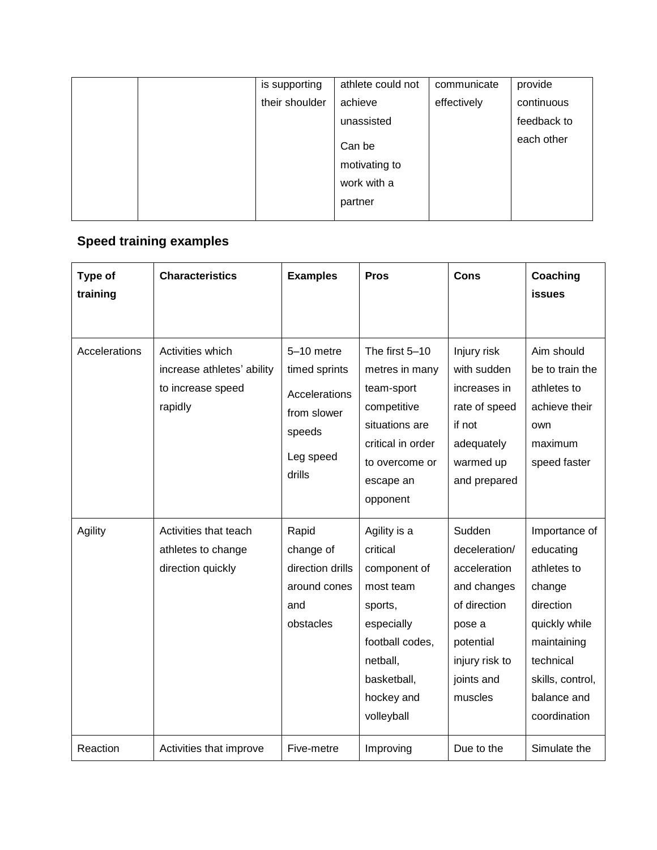| is supporting  | athlete could not       | communicate | provide     |
|----------------|-------------------------|-------------|-------------|
| their shoulder | achieve                 | effectively | continuous  |
|                | unassisted              |             | feedback to |
|                | Can be<br>motivating to |             | each other  |
|                | work with a             |             |             |
|                | partner                 |             |             |

## **Speed training examples**

| Type of<br>training | <b>Characteristics</b>                                                         | <b>Examples</b>                                                                              | <b>Pros</b>                                                                                                                                              | Cons                                                                                                                                     | Coaching<br><b>issues</b>                                                                                                                                        |
|---------------------|--------------------------------------------------------------------------------|----------------------------------------------------------------------------------------------|----------------------------------------------------------------------------------------------------------------------------------------------------------|------------------------------------------------------------------------------------------------------------------------------------------|------------------------------------------------------------------------------------------------------------------------------------------------------------------|
| Accelerations       | Activities which<br>increase athletes' ability<br>to increase speed<br>rapidly | 5-10 metre<br>timed sprints<br>Accelerations<br>from slower<br>speeds<br>Leg speed<br>drills | The first 5-10<br>metres in many<br>team-sport<br>competitive<br>situations are<br>critical in order<br>to overcome or<br>escape an<br>opponent          | Injury risk<br>with sudden<br>increases in<br>rate of speed<br>if not<br>adequately<br>warmed up<br>and prepared                         | Aim should<br>be to train the<br>athletes to<br>achieve their<br>own<br>maximum<br>speed faster                                                                  |
| Agility             | Activities that teach<br>athletes to change<br>direction quickly               | Rapid<br>change of<br>direction drills<br>around cones<br>and<br>obstacles                   | Agility is a<br>critical<br>component of<br>most team<br>sports,<br>especially<br>football codes,<br>netball,<br>basketball,<br>hockey and<br>volleyball | Sudden<br>deceleration/<br>acceleration<br>and changes<br>of direction<br>pose a<br>potential<br>injury risk to<br>joints and<br>muscles | Importance of<br>educating<br>athletes to<br>change<br>direction<br>quickly while<br>maintaining<br>technical<br>skills, control,<br>balance and<br>coordination |
| Reaction            | Activities that improve                                                        | Five-metre                                                                                   | Improving                                                                                                                                                | Due to the                                                                                                                               | Simulate the                                                                                                                                                     |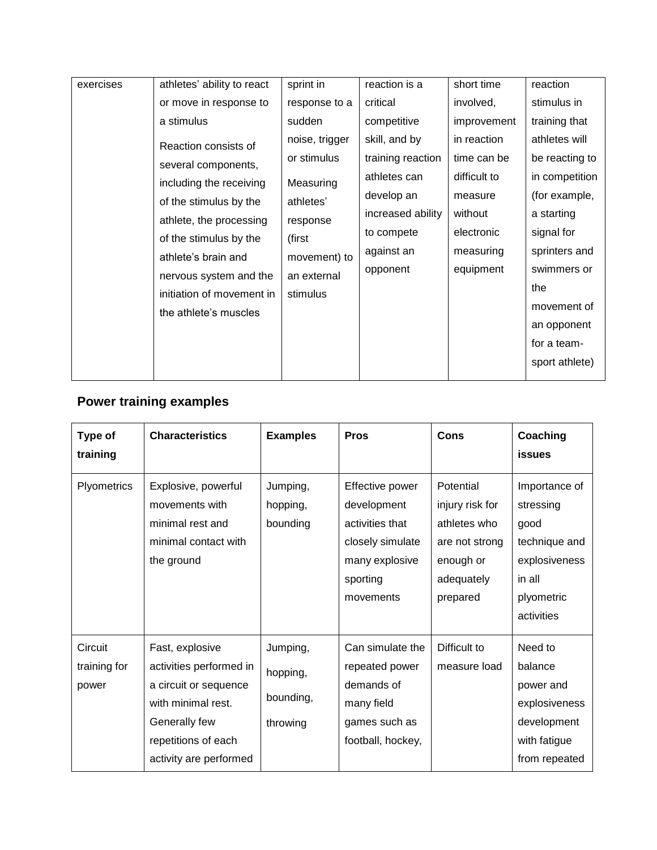| exercises | athletes' ability to react | sprint in      | reaction is a     | short time   | reaction       |
|-----------|----------------------------|----------------|-------------------|--------------|----------------|
|           | or move in response to     | response to a  | critical          | involved,    | stimulus in    |
|           | a stimulus                 | sudden         | competitive       | improvement  | training that  |
|           | Reaction consists of       | noise, trigger | skill, and by     | in reaction  | athletes will  |
|           | several components,        | or stimulus    | training reaction | time can be  | be reacting to |
|           | including the receiving    | Measuring      | athletes can      | difficult to | in competition |
|           | of the stimulus by the     | athletes'      | develop an        | measure      | (for example,  |
|           | athlete, the processing    | response       | increased ability | without      | a starting     |
|           | of the stimulus by the     | (first         | to compete        | electronic   | signal for     |
|           | athlete's brain and        | movement) to   | against an        | measuring    | sprinters and  |
|           | nervous system and the     | an external    | opponent          | equipment    | swimmers or    |
|           | initiation of movement in  | stimulus       |                   |              | the            |
|           | the athlete's muscles      |                |                   |              | movement of    |
|           |                            |                |                   |              | an opponent    |
|           |                            |                |                   |              | for a team-    |
|           |                            |                |                   |              | sport athlete) |
|           |                            |                |                   |              |                |

## **Power training examples**

| Type of<br>training              | <b>Characteristics</b>                                                                                                                                      | <b>Examples</b>                               | <b>Pros</b>                                                                                                      | <b>Cons</b>                                                                                           | Coaching<br><b>issues</b>                                                                                  |
|----------------------------------|-------------------------------------------------------------------------------------------------------------------------------------------------------------|-----------------------------------------------|------------------------------------------------------------------------------------------------------------------|-------------------------------------------------------------------------------------------------------|------------------------------------------------------------------------------------------------------------|
| Plyometrics                      | Explosive, powerful<br>movements with<br>minimal rest and<br>minimal contact with<br>the ground                                                             | Jumping,<br>hopping,<br>bounding              | Effective power<br>development<br>activities that<br>closely simulate<br>many explosive<br>sporting<br>movements | Potential<br>injury risk for<br>athletes who<br>are not strong<br>enough or<br>adequately<br>prepared | Importance of<br>stressing<br>good<br>technique and<br>explosiveness<br>in all<br>plyometric<br>activities |
| Circuit<br>training for<br>power | Fast, explosive<br>activities performed in<br>a circuit or sequence<br>with minimal rest.<br>Generally few<br>repetitions of each<br>activity are performed | Jumping,<br>hopping,<br>bounding,<br>throwing | Can simulate the<br>repeated power<br>demands of<br>many field<br>games such as<br>football, hockey,             | Difficult to<br>measure load                                                                          | Need to<br>balance<br>power and<br>explosiveness<br>development<br>with fatigue<br>from repeated           |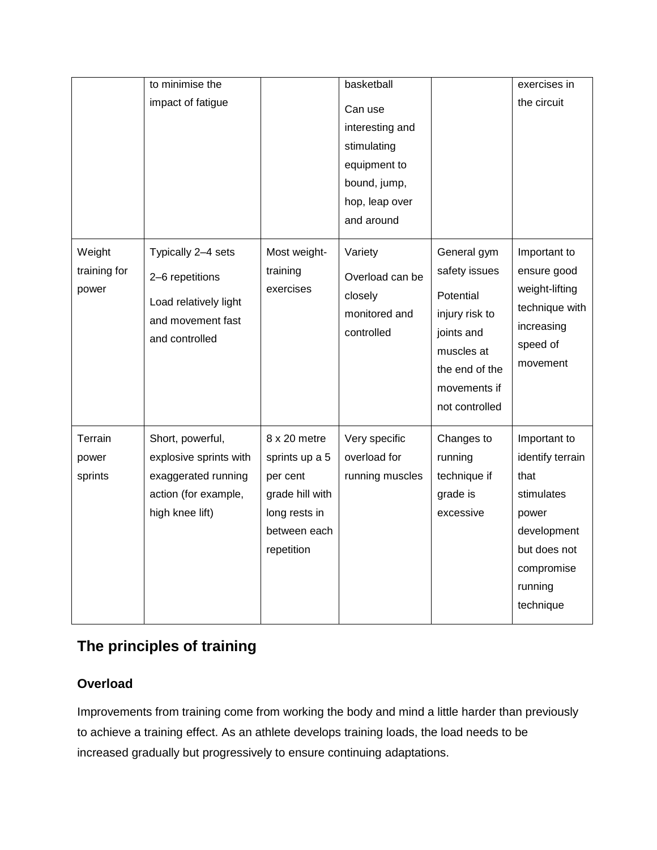|                                 | to minimise the                                                                                              |                                                                                                              | basketball                                                                                                |                                                                                                                                             | exercises in                                                                                                                         |
|---------------------------------|--------------------------------------------------------------------------------------------------------------|--------------------------------------------------------------------------------------------------------------|-----------------------------------------------------------------------------------------------------------|---------------------------------------------------------------------------------------------------------------------------------------------|--------------------------------------------------------------------------------------------------------------------------------------|
|                                 | impact of fatigue                                                                                            |                                                                                                              | Can use<br>interesting and<br>stimulating<br>equipment to<br>bound, jump,<br>hop, leap over<br>and around |                                                                                                                                             | the circuit                                                                                                                          |
| Weight<br>training for<br>power | Typically 2-4 sets<br>2-6 repetitions<br>Load relatively light<br>and movement fast<br>and controlled        | Most weight-<br>training<br>exercises                                                                        | Variety<br>Overload can be<br>closely<br>monitored and<br>controlled                                      | General gym<br>safety issues<br>Potential<br>injury risk to<br>joints and<br>muscles at<br>the end of the<br>movements if<br>not controlled | Important to<br>ensure good<br>weight-lifting<br>technique with<br>increasing<br>speed of<br>movement                                |
| Terrain<br>power<br>sprints     | Short, powerful,<br>explosive sprints with<br>exaggerated running<br>action (for example,<br>high knee lift) | 8 x 20 metre<br>sprints up a 5<br>per cent<br>grade hill with<br>long rests in<br>between each<br>repetition | Very specific<br>overload for<br>running muscles                                                          | Changes to<br>running<br>technique if<br>grade is<br>excessive                                                                              | Important to<br>identify terrain<br>that<br>stimulates<br>power<br>development<br>but does not<br>compromise<br>running<br>technique |

## **The principles of training**

## **Overload**

Improvements from training come from working the body and mind a little harder than previously to achieve a training effect. As an athlete develops training loads, the load needs to be increased gradually but progressively to ensure continuing adaptations.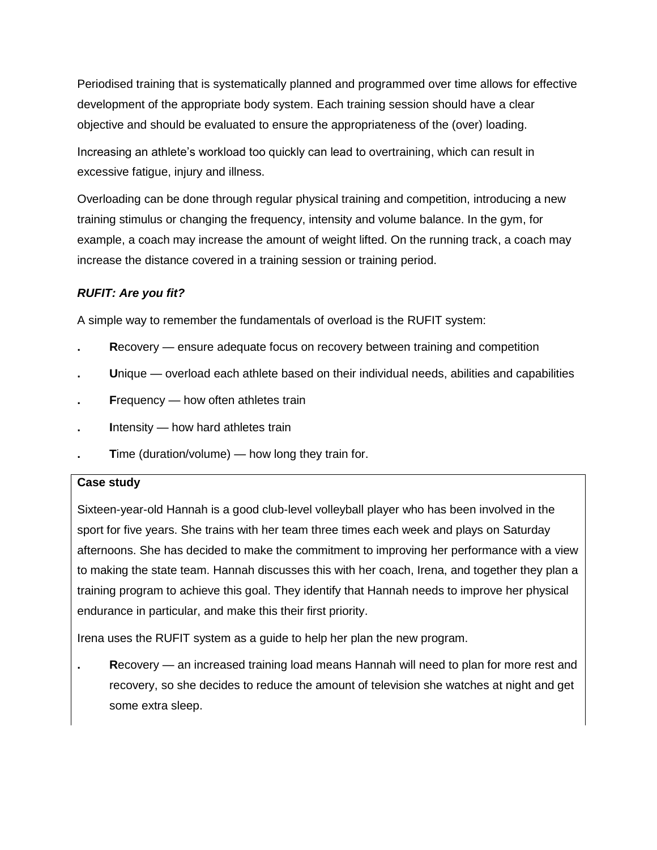Periodised training that is systematically planned and programmed over time allows for effective development of the appropriate body system. Each training session should have a clear objective and should be evaluated to ensure the appropriateness of the (over) loading.

Increasing an athlete's workload too quickly can lead to overtraining, which can result in excessive fatigue, injury and illness.

Overloading can be done through regular physical training and competition, introducing a new training stimulus or changing the frequency, intensity and volume balance. In the gym, for example, a coach may increase the amount of weight lifted. On the running track, a coach may increase the distance covered in a training session or training period.

## *RUFIT: Are you fit?*

A simple way to remember the fundamentals of overload is the RUFIT system:

- **. R**ecovery ensure adequate focus on recovery between training and competition
- **. U**nique overload each athlete based on their individual needs, abilities and capabilities
- **. F**requency how often athletes train
- **. I**ntensity how hard athletes train
- **Time (duration/volume) how long they train for.**

## **Case study**

Sixteen-year-old Hannah is a good club-level volleyball player who has been involved in the sport for five years. She trains with her team three times each week and plays on Saturday afternoons. She has decided to make the commitment to improving her performance with a view to making the state team. Hannah discusses this with her coach, Irena, and together they plan a training program to achieve this goal. They identify that Hannah needs to improve her physical endurance in particular, and make this their first priority.

Irena uses the RUFIT system as a guide to help her plan the new program.

**. R**ecovery — an increased training load means Hannah will need to plan for more rest and recovery, so she decides to reduce the amount of television she watches at night and get some extra sleep.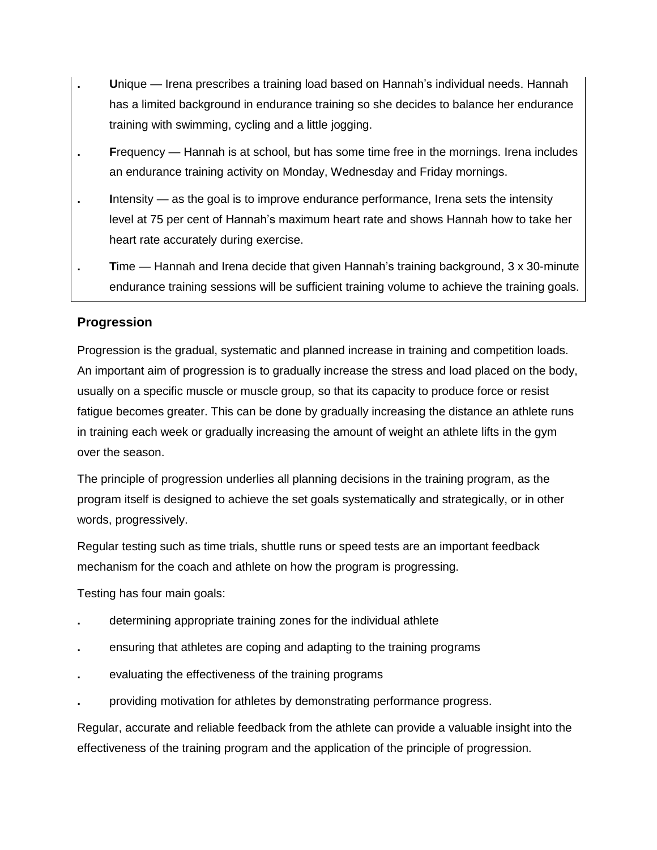- **. U**nique Irena prescribes a training load based on Hannah's individual needs. Hannah has a limited background in endurance training so she decides to balance her endurance training with swimming, cycling and a little jogging.
- **. F**requency Hannah is at school, but has some time free in the mornings. Irena includes an endurance training activity on Monday, Wednesday and Friday mornings.
- **. I**ntensity as the goal is to improve endurance performance, Irena sets the intensity level at 75 per cent of Hannah's maximum heart rate and shows Hannah how to take her heart rate accurately during exercise.
- **. T**ime Hannah and Irena decide that given Hannah's training background, 3 x 30-minute endurance training sessions will be sufficient training volume to achieve the training goals.

## **Progression**

Progression is the gradual, systematic and planned increase in training and competition loads. An important aim of progression is to gradually increase the stress and load placed on the body, usually on a specific muscle or muscle group, so that its capacity to produce force or resist fatigue becomes greater. This can be done by gradually increasing the distance an athlete runs in training each week or gradually increasing the amount of weight an athlete lifts in the gym over the season.

The principle of progression underlies all planning decisions in the training program, as the program itself is designed to achieve the set goals systematically and strategically, or in other words, progressively.

Regular testing such as time trials, shuttle runs or speed tests are an important feedback mechanism for the coach and athlete on how the program is progressing.

Testing has four main goals:

- **.** determining appropriate training zones for the individual athlete
- **.** ensuring that athletes are coping and adapting to the training programs
- **.** evaluating the effectiveness of the training programs
- **.** providing motivation for athletes by demonstrating performance progress.

Regular, accurate and reliable feedback from the athlete can provide a valuable insight into the effectiveness of the training program and the application of the principle of progression.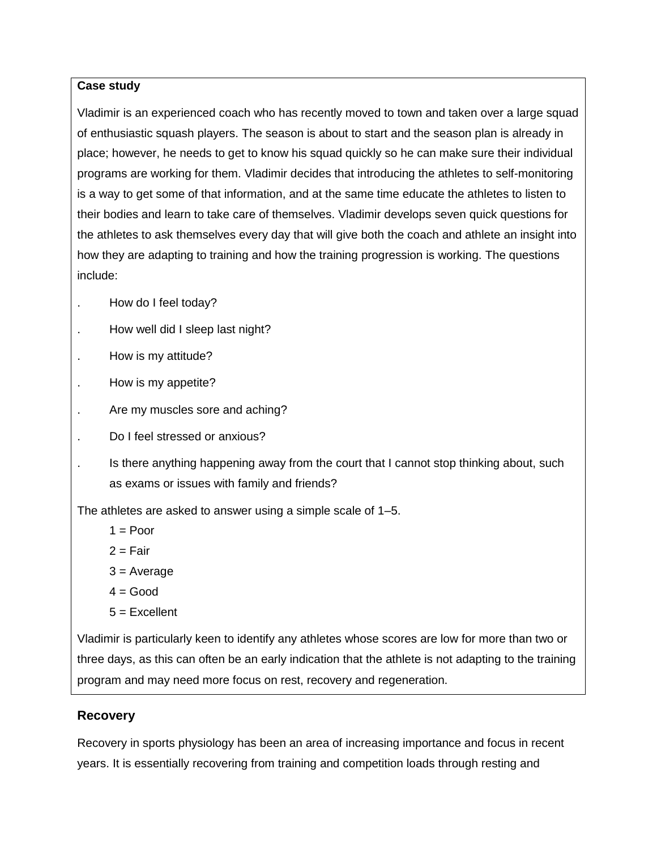#### **Case study**

Vladimir is an experienced coach who has recently moved to town and taken over a large squad of enthusiastic squash players. The season is about to start and the season plan is already in place; however, he needs to get to know his squad quickly so he can make sure their individual programs are working for them. Vladimir decides that introducing the athletes to self-monitoring is a way to get some of that information, and at the same time educate the athletes to listen to their bodies and learn to take care of themselves. Vladimir develops seven quick questions for the athletes to ask themselves every day that will give both the coach and athlete an insight into how they are adapting to training and how the training progression is working. The questions include:

- . How do I feel today?
- . How well did I sleep last night?
- . How is my attitude?
- . How is my appetite?
- . Are my muscles sore and aching?
- . Do I feel stressed or anxious?
- Is there anything happening away from the court that I cannot stop thinking about, such as exams or issues with family and friends?

The athletes are asked to answer using a simple scale of 1–5.

- $1 =$  Poor
- $2 =$ Fair
- 3 = Average
- $4 = Good$
- $5 =$ Excellent

Vladimir is particularly keen to identify any athletes whose scores are low for more than two or three days, as this can often be an early indication that the athlete is not adapting to the training program and may need more focus on rest, recovery and regeneration.

## **Recovery**

Recovery in sports physiology has been an area of increasing importance and focus in recent years. It is essentially recovering from training and competition loads through resting and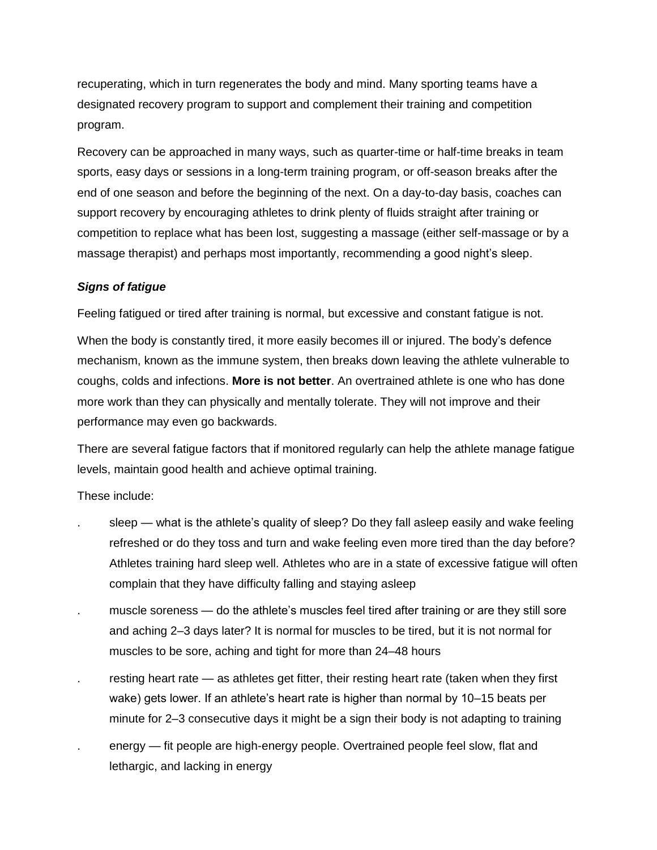recuperating, which in turn regenerates the body and mind. Many sporting teams have a designated recovery program to support and complement their training and competition program.

Recovery can be approached in many ways, such as quarter-time or half-time breaks in team sports, easy days or sessions in a long-term training program, or off-season breaks after the end of one season and before the beginning of the next. On a day-to-day basis, coaches can support recovery by encouraging athletes to drink plenty of fluids straight after training or competition to replace what has been lost, suggesting a massage (either self-massage or by a massage therapist) and perhaps most importantly, recommending a good night's sleep.

#### *Signs of fatigue*

Feeling fatigued or tired after training is normal, but excessive and constant fatigue is not.

When the body is constantly tired, it more easily becomes ill or injured. The body's defence mechanism, known as the immune system, then breaks down leaving the athlete vulnerable to coughs, colds and infections. **More is not better**. An overtrained athlete is one who has done more work than they can physically and mentally tolerate. They will not improve and their performance may even go backwards.

There are several fatigue factors that if monitored regularly can help the athlete manage fatigue levels, maintain good health and achieve optimal training.

These include:

- sleep what is the athlete's quality of sleep? Do they fall asleep easily and wake feeling refreshed or do they toss and turn and wake feeling even more tired than the day before? Athletes training hard sleep well. Athletes who are in a state of excessive fatigue will often complain that they have difficulty falling and staying asleep
- muscle soreness do the athlete's muscles feel tired after training or are they still sore and aching 2–3 days later? It is normal for muscles to be tired, but it is not normal for muscles to be sore, aching and tight for more than 24–48 hours
- resting heart rate as athletes get fitter, their resting heart rate (taken when they first wake) gets lower. If an athlete's heart rate is higher than normal by 10–15 beats per minute for 2–3 consecutive days it might be a sign their body is not adapting to training
- . energy fit people are high-energy people. Overtrained people feel slow, flat and lethargic, and lacking in energy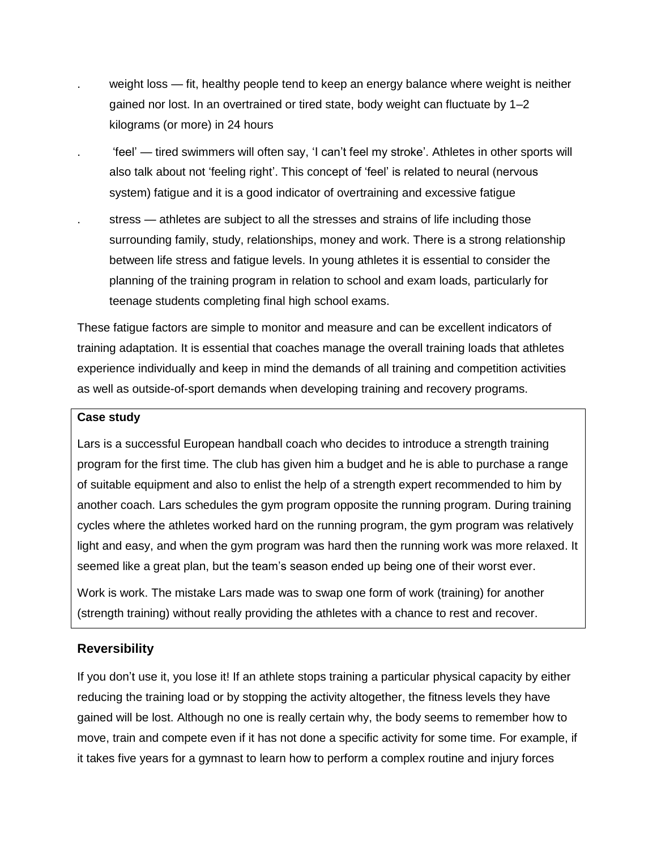- . weight loss fit, healthy people tend to keep an energy balance where weight is neither gained nor lost. In an overtrained or tired state, body weight can fluctuate by 1–2 kilograms (or more) in 24 hours
- . 'feel' tired swimmers will often say, 'I can't feel my stroke'. Athletes in other sports will also talk about not 'feeling right'. This concept of 'feel' is related to neural (nervous system) fatigue and it is a good indicator of overtraining and excessive fatigue
- stress athletes are subject to all the stresses and strains of life including those surrounding family, study, relationships, money and work. There is a strong relationship between life stress and fatigue levels. In young athletes it is essential to consider the planning of the training program in relation to school and exam loads, particularly for teenage students completing final high school exams.

These fatigue factors are simple to monitor and measure and can be excellent indicators of training adaptation. It is essential that coaches manage the overall training loads that athletes experience individually and keep in mind the demands of all training and competition activities as well as outside-of-sport demands when developing training and recovery programs.

#### **Case study**

Lars is a successful European handball coach who decides to introduce a strength training program for the first time. The club has given him a budget and he is able to purchase a range of suitable equipment and also to enlist the help of a strength expert recommended to him by another coach. Lars schedules the gym program opposite the running program. During training cycles where the athletes worked hard on the running program, the gym program was relatively light and easy, and when the gym program was hard then the running work was more relaxed. It seemed like a great plan, but the team's season ended up being one of their worst ever.

Work is work. The mistake Lars made was to swap one form of work (training) for another (strength training) without really providing the athletes with a chance to rest and recover.

## **Reversibility**

If you don't use it, you lose it! If an athlete stops training a particular physical capacity by either reducing the training load or by stopping the activity altogether, the fitness levels they have gained will be lost. Although no one is really certain why, the body seems to remember how to move, train and compete even if it has not done a specific activity for some time. For example, if it takes five years for a gymnast to learn how to perform a complex routine and injury forces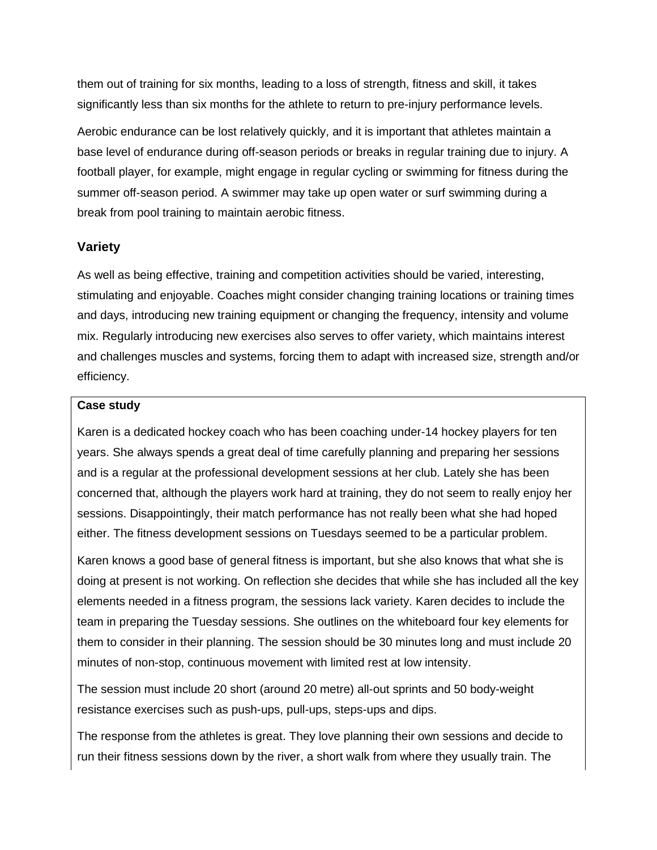them out of training for six months, leading to a loss of strength, fitness and skill, it takes significantly less than six months for the athlete to return to pre-injury performance levels.

Aerobic endurance can be lost relatively quickly, and it is important that athletes maintain a base level of endurance during off-season periods or breaks in regular training due to injury. A football player, for example, might engage in regular cycling or swimming for fitness during the summer off-season period. A swimmer may take up open water or surf swimming during a break from pool training to maintain aerobic fitness.

#### **Variety**

As well as being effective, training and competition activities should be varied, interesting, stimulating and enjoyable. Coaches might consider changing training locations or training times and days, introducing new training equipment or changing the frequency, intensity and volume mix. Regularly introducing new exercises also serves to offer variety, which maintains interest and challenges muscles and systems, forcing them to adapt with increased size, strength and/or efficiency.

#### **Case study**

Karen is a dedicated hockey coach who has been coaching under-14 hockey players for ten years. She always spends a great deal of time carefully planning and preparing her sessions and is a regular at the professional development sessions at her club. Lately she has been concerned that, although the players work hard at training, they do not seem to really enjoy her sessions. Disappointingly, their match performance has not really been what she had hoped either. The fitness development sessions on Tuesdays seemed to be a particular problem.

Karen knows a good base of general fitness is important, but she also knows that what she is doing at present is not working. On reflection she decides that while she has included all the key elements needed in a fitness program, the sessions lack variety. Karen decides to include the team in preparing the Tuesday sessions. She outlines on the whiteboard four key elements for them to consider in their planning. The session should be 30 minutes long and must include 20 minutes of non-stop, continuous movement with limited rest at low intensity.

The session must include 20 short (around 20 metre) all-out sprints and 50 body-weight resistance exercises such as push-ups, pull-ups, steps-ups and dips.

The response from the athletes is great. They love planning their own sessions and decide to run their fitness sessions down by the river, a short walk from where they usually train. The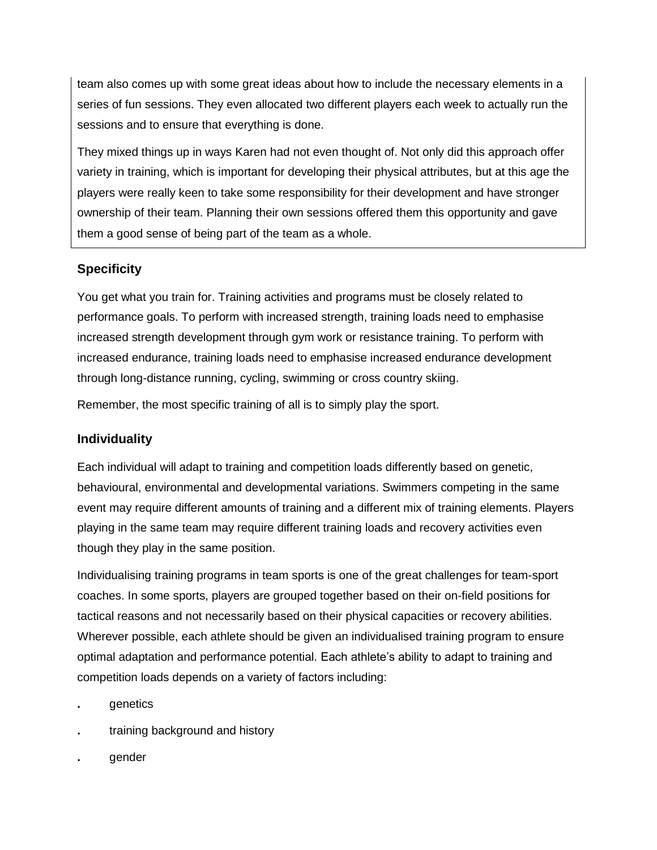team also comes up with some great ideas about how to include the necessary elements in a series of fun sessions. They even allocated two different players each week to actually run the sessions and to ensure that everything is done.

They mixed things up in ways Karen had not even thought of. Not only did this approach offer variety in training, which is important for developing their physical attributes, but at this age the players were really keen to take some responsibility for their development and have stronger ownership of their team. Planning their own sessions offered them this opportunity and gave them a good sense of being part of the team as a whole.

## **Specificity**

You get what you train for. Training activities and programs must be closely related to performance goals. To perform with increased strength, training loads need to emphasise increased strength development through gym work or resistance training. To perform with increased endurance, training loads need to emphasise increased endurance development through long-distance running, cycling, swimming or cross country skiing.

Remember, the most specific training of all is to simply play the sport.

## **Individuality**

Each individual will adapt to training and competition loads differently based on genetic, behavioural, environmental and developmental variations. Swimmers competing in the same event may require different amounts of training and a different mix of training elements. Players playing in the same team may require different training loads and recovery activities even though they play in the same position.

Individualising training programs in team sports is one of the great challenges for team-sport coaches. In some sports, players are grouped together based on their on-field positions for tactical reasons and not necessarily based on their physical capacities or recovery abilities. Wherever possible, each athlete should be given an individualised training program to ensure optimal adaptation and performance potential. Each athlete's ability to adapt to training and competition loads depends on a variety of factors including:

- **.** genetics
- **.** training background and history
- **.** gender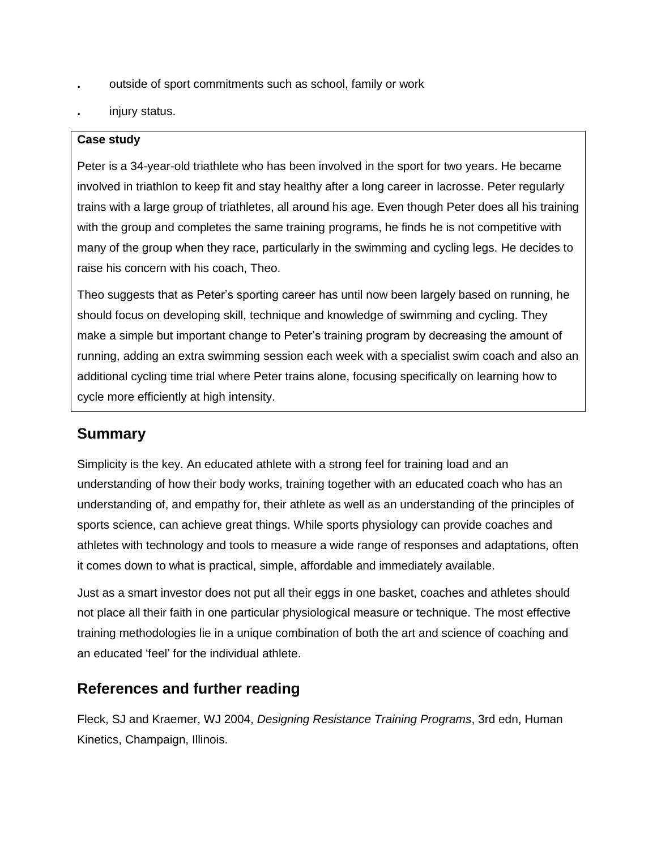- **.** outside of sport commitments such as school, family or work
- **.** injury status.

#### **Case study**

Peter is a 34-year-old triathlete who has been involved in the sport for two years. He became involved in triathlon to keep fit and stay healthy after a long career in lacrosse. Peter regularly trains with a large group of triathletes, all around his age. Even though Peter does all his training with the group and completes the same training programs, he finds he is not competitive with many of the group when they race, particularly in the swimming and cycling legs. He decides to raise his concern with his coach, Theo.

Theo suggests that as Peter's sporting career has until now been largely based on running, he should focus on developing skill, technique and knowledge of swimming and cycling. They make a simple but important change to Peter's training program by decreasing the amount of running, adding an extra swimming session each week with a specialist swim coach and also an additional cycling time trial where Peter trains alone, focusing specifically on learning how to cycle more efficiently at high intensity.

## **Summary**

Simplicity is the key. An educated athlete with a strong feel for training load and an understanding of how their body works, training together with an educated coach who has an understanding of, and empathy for, their athlete as well as an understanding of the principles of sports science, can achieve great things. While sports physiology can provide coaches and athletes with technology and tools to measure a wide range of responses and adaptations, often it comes down to what is practical, simple, affordable and immediately available.

Just as a smart investor does not put all their eggs in one basket, coaches and athletes should not place all their faith in one particular physiological measure or technique. The most effective training methodologies lie in a unique combination of both the art and science of coaching and an educated 'feel' for the individual athlete.

## **References and further reading**

Fleck, SJ and Kraemer, WJ 2004, *Designing Resistance Training Programs*, 3rd edn, Human Kinetics, Champaign, Illinois.